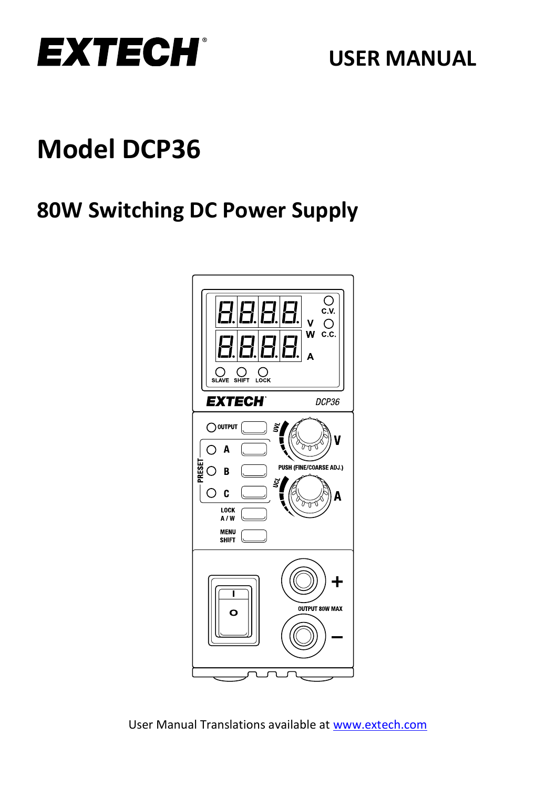

# **Model DCP36**

# **80W Switching DC Power Supply**

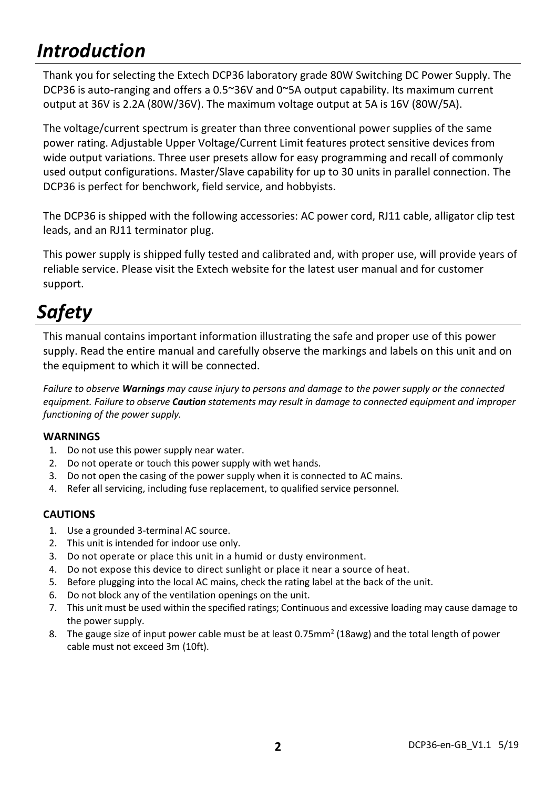# *Introduction*

Thank you for selecting the Extech DCP36 laboratory grade 80W Switching DC Power Supply. The DCP36 is auto-ranging and offers a 0.5~36V and 0~5A output capability. Its maximum current output at 36V is 2.2A (80W/36V). The maximum voltage output at 5A is 16V (80W/5A).

The voltage/current spectrum is greater than three conventional power supplies of the same power rating. Adjustable Upper Voltage/Current Limit features protect sensitive devices from wide output variations. Three user presets allow for easy programming and recall of commonly used output configurations. Master/Slave capability for up to 30 units in parallel connection. The DCP36 is perfect for benchwork, field service, and hobbyists.

The DCP36 is shipped with the following accessories: AC power cord, RJ11 cable, alligator clip test leads, and an RJ11 terminator plug.

This power supply is shipped fully tested and calibrated and, with proper use, will provide years of reliable service. Please visit the Extech website for the latest user manual and for customer support.

# *Safety*

This manual contains important information illustrating the safe and proper use of this power supply. Read the entire manual and carefully observe the markings and labels on this unit and on the equipment to which it will be connected.

*Failure to observe Warnings may cause injury to persons and damage to the power supply or the connected equipment. Failure to observe Caution statements may result in damage to connected equipment and improper functioning of the power supply.*

#### **WARNINGS**

- 1. Do not use this power supply near water.
- 2. Do not operate or touch this power supply with wet hands.
- 3. Do not open the casing of the power supply when it is connected to AC mains.
- 4. Refer all servicing, including fuse replacement, to qualified service personnel.

#### **CAUTIONS**

- 1. Use a grounded 3-terminal AC source.
- 2. This unit is intended for indoor use only.
- 3. Do not operate or place this unit in a humid or dusty environment.
- 4. Do not expose this device to direct sunlight or place it near a source of heat.
- 5. Before plugging into the local AC mains, check the rating label at the back of the unit.
- 6. Do not block any of the ventilation openings on the unit.
- 7. This unit must be used within the specified ratings; Continuous and excessive loading may cause damage to the power supply.
- 8. The gauge size of input power cable must be at least 0.75mm<sup>2</sup> (18awg) and the total length of power cable must not exceed 3m (10ft).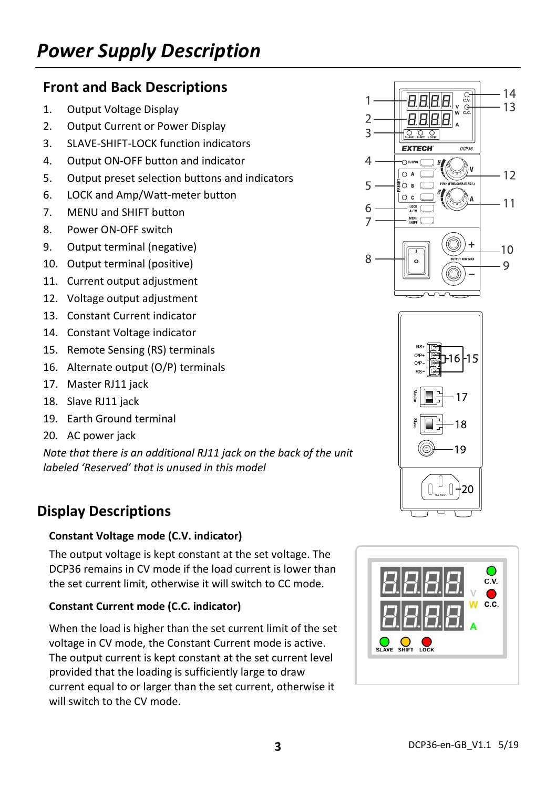### **Front and Back Descriptions**

- 1. Output Voltage Display
- 2. Output Current or Power Display
- 3. SLAVE-SHIFT-LOCK function indicators
- 4. Output ON-OFF button and indicator
- 5. Output preset selection buttons and indicators
- 6. LOCK and Amp/Watt-meter button
- 7. MENU and SHIFT button
- 8. Power ON-OFF switch
- 9. Output terminal (negative)
- 10. Output terminal (positive)
- 11. Current output adjustment
- 12. Voltage output adjustment
- 13. Constant Current indicator
- 14. Constant Voltage indicator
- 15. Remote Sensing (RS) terminals
- 16. Alternate output (O/P) terminals
- 17. Master RJ11 jack
- 18. Slave RJ11 jack
- 19. Earth Ground terminal
- 20. AC power jack

*Note that there is an additional RJ11 jack on the back of the unit labeled 'Reserved' that is unused in this model*

### **Display Descriptions**

#### **Constant Voltage mode (C.V. indicator)**

The output voltage is kept constant at the set voltage. The DCP36 remains in CV mode if the load current is lower than the set current limit, otherwise it will switch to CC mode.

#### **Constant Current mode (C.C. indicator)**

When the load is higher than the set current limit of the set voltage in CV mode, the Constant Current mode is active. The output current is kept constant at the set current level provided that the loading is sufficiently large to draw current equal to or larger than the set current, otherwise it will switch to the CV mode.





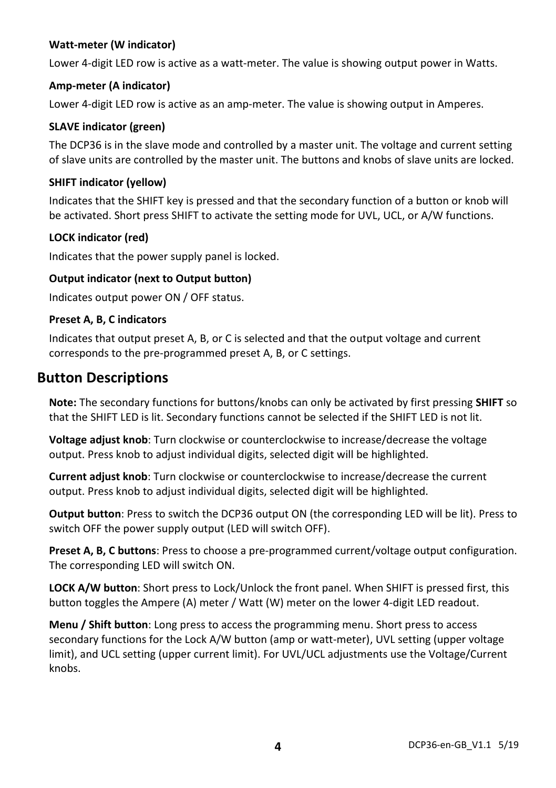#### **Watt-meter (W indicator)**

Lower 4-digit LED row is active as a watt-meter. The value is showing output power in Watts.

#### **Amp-meter (A indicator)**

Lower 4-digit LED row is active as an amp-meter. The value is showing output in Amperes.

#### **SLAVE indicator (green)**

The DCP36 is in the slave mode and controlled by a master unit. The voltage and current setting of slave units are controlled by the master unit. The buttons and knobs of slave units are locked.

#### **SHIFT indicator (yellow)**

Indicates that the SHIFT key is pressed and that the secondary function of a button or knob will be activated. Short press SHIFT to activate the setting mode for UVL, UCL, or A/W functions.

#### **LOCK indicator (red)**

Indicates that the power supply panel is locked.

#### **Output indicator (next to Output button)**

Indicates output power ON / OFF status.

#### **Preset A, B, C indicators**

Indicates that output preset A, B, or C is selected and that the output voltage and current corresponds to the pre-programmed preset A, B, or C settings.

### **Button Descriptions**

**Note:** The secondary functions for buttons/knobs can only be activated by first pressing **SHIFT** so that the SHIFT LED is lit. Secondary functions cannot be selected if the SHIFT LED is not lit.

**Voltage adjust knob**: Turn clockwise or counterclockwise to increase/decrease the voltage output. Press knob to adjust individual digits, selected digit will be highlighted.

**Current adjust knob**: Turn clockwise or counterclockwise to increase/decrease the current output. Press knob to adjust individual digits, selected digit will be highlighted.

**Output button**: Press to switch the DCP36 output ON (the corresponding LED will be lit). Press to switch OFF the power supply output (LED will switch OFF).

**Preset A, B, C buttons**: Press to choose a pre-programmed current/voltage output configuration. The corresponding LED will switch ON.

**LOCK A/W button**: Short press to Lock/Unlock the front panel. When SHIFT is pressed first, this button toggles the Ampere (A) meter / Watt (W) meter on the lower 4-digit LED readout.

**Menu / Shift button**: Long press to access the programming menu. Short press to access secondary functions for the Lock A/W button (amp or watt-meter), UVL setting (upper voltage limit), and UCL setting (upper current limit). For UVL/UCL adjustments use the Voltage/Current knobs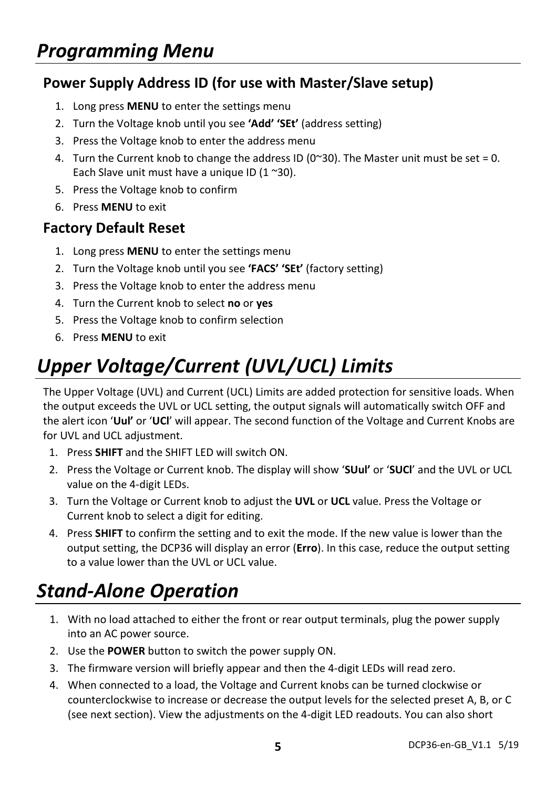# *Programming Menu*

### **Power Supply Address ID (for use with Master/Slave setup)**

- 1. Long press **MENU** to enter the settings menu
- 2. Turn the Voltage knob until you see **'Add' 'SEt'** (address setting)
- 3. Press the Voltage knob to enter the address menu
- 4. Turn the Current knob to change the address ID ( $0^{\degree}30$ ). The Master unit must be set = 0. Each Slave unit must have a unique ID  $(1 \text{ }^{\sim}30)$ .
- 5. Press the Voltage knob to confirm
- 6. Press **MENU** to exit

### **Factory Default Reset**

- 1. Long press **MENU** to enter the settings menu
- 2. Turn the Voltage knob until you see **'FACS' 'SEt'** (factory setting)
- 3. Press the Voltage knob to enter the address menu
- 4. Turn the Current knob to select **no** or **yes**
- 5. Press the Voltage knob to confirm selection
- 6. Press **MENU** to exit

# *Upper Voltage/Current (UVL/UCL) Limits*

The Upper Voltage (UVL) and Current (UCL) Limits are added protection for sensitive loads. When the output exceeds the UVL or UCL setting, the output signals will automatically switch OFF and the alert icon '**Uul'** or '**UCl**' will appear. The second function of the Voltage and Current Knobs are for UVL and UCL adiustment.

- 1. Press **SHIFT** and the SHIFT LED will switch ON.
- 2. Press the Voltage or Current knob. The display will show '**SUul'** or '**SUCl**' and the UVL or UCL value on the 4-digit LEDs.
- 3. Turn the Voltage or Current knob to adjust the **UVL** or **UCL** value. Press the Voltage or Current knob to select a digit for editing.
- 4. Press **SHIFT** to confirm the setting and to exit the mode. If the new value is lower than the output setting, the DCP36 will display an error (**Erro**). In this case, reduce the output setting to a value lower than the UVL or UCL value.

### *Stand-Alone Operation*

- 1. With no load attached to either the front or rear output terminals, plug the power supply into an AC power source.
- 2. Use the **POWER** button to switch the power supply ON.
- 3. The firmware version will briefly appear and then the 4-digit LEDs will read zero.
- 4. When connected to a load, the Voltage and Current knobs can be turned clockwise or counterclockwise to increase or decrease the output levels for the selected preset A, B, or C (see next section). View the adjustments on the 4-digit LED readouts. You can also short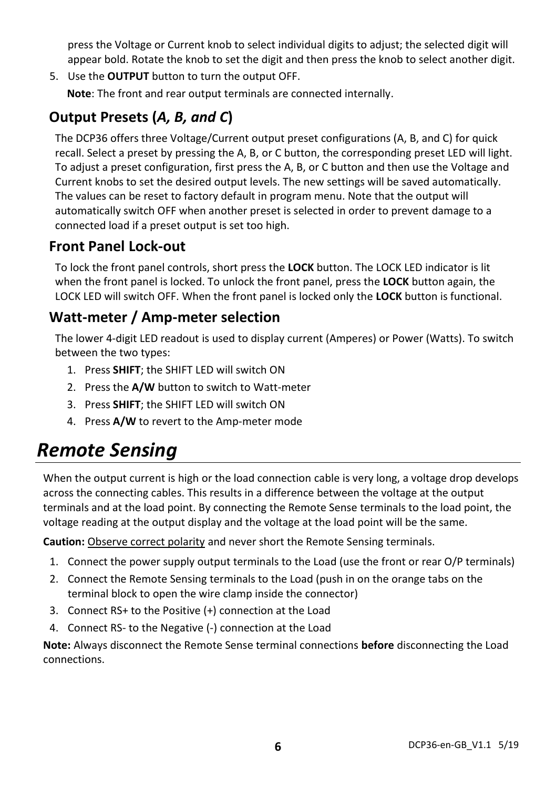press the Voltage or Current knob to select individual digits to adjust; the selected digit will appear bold. Rotate the knob to set the digit and then press the knob to select another digit.

5. Use the **OUTPUT** button to turn the output OFF.

**Note**: The front and rear output terminals are connected internally.

### **Output Presets (***A, B, and C***)**

The DCP36 offers three Voltage/Current output preset configurations (A, B, and C) for quick recall. Select a preset by pressing the A, B, or C button, the corresponding preset LED will light. To adjust a preset configuration, first press the A, B, or C button and then use the Voltage and Current knobs to set the desired output levels. The new settings will be saved automatically. The values can be reset to factory default in program menu. Note that the output will automatically switch OFF when another preset is selected in order to prevent damage to a connected load if a preset output is set too high.

### **Front Panel Lock-out**

To lock the front panel controls, short press the **LOCK** button. The LOCK LED indicator is lit when the front panel is locked. To unlock the front panel, press the **LOCK** button again, the LOCK LED will switch OFF. When the front panel is locked only the **LOCK** button is functional.

### **Watt-meter / Amp-meter selection**

The lower 4-digit LED readout is used to display current (Amperes) or Power (Watts). To switch between the two types:

- 1. Press **SHIFT**; the SHIFT LED will switch ON
- 2. Press the **A/W** button to switch to Watt-meter
- 3. Press **SHIFT**; the SHIFT LED will switch ON
- 4. Press **A/W** to revert to the Amp-meter mode

### *Remote Sensing*

When the output current is high or the load connection cable is very long, a voltage drop develops across the connecting cables. This results in a difference between the voltage at the output terminals and at the load point. By connecting the Remote Sense terminals to the load point, the voltage reading at the output display and the voltage at the load point will be the same.

**Caution:** Observe correct polarity and never short the Remote Sensing terminals.

- 1. Connect the power supply output terminals to the Load (use the front or rear O/P terminals)
- 2. Connect the Remote Sensing terminals to the Load (push in on the orange tabs on the terminal block to open the wire clamp inside the connector)
- 3. Connect RS+ to the Positive (+) connection at the Load
- 4. Connect RS- to the Negative (-) connection at the Load

**Note:** Always disconnect the Remote Sense terminal connections **before** disconnecting the Load connections.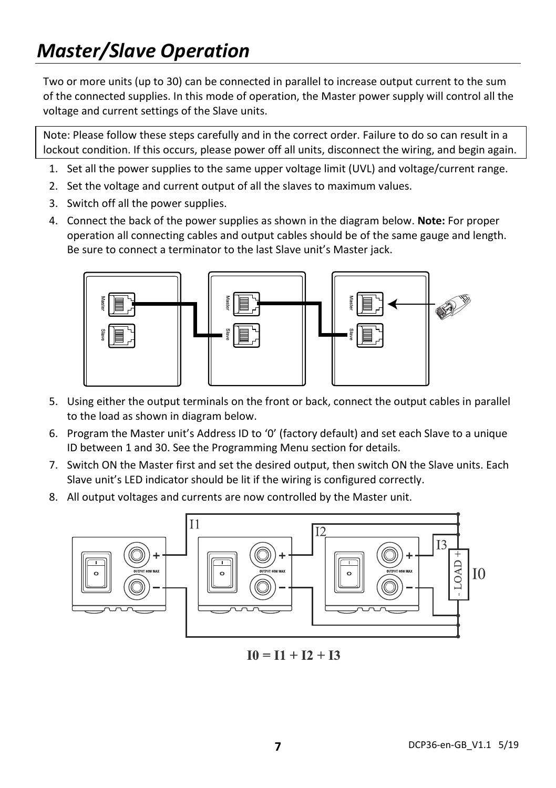# *Master/Slave Operation*

Two or more units (up to 30) can be connected in parallel to increase output current to the sum of the connected supplies. In this mode of operation, the Master power supply will control all the voltage and current settings of the Slave units.

Note: Please follow these steps carefully and in the correct order. Failure to do so can result in a lockout condition. If this occurs, please power off all units, disconnect the wiring, and begin again.

- 1. Set all the power supplies to the same upper voltage limit (UVL) and voltage/current range.
- 2. Set the voltage and current output of all the slaves to maximum values.
- 3. Switch off all the power supplies.
- 4. Connect the back of the power supplies as shown in the diagram below. **Note:** For proper operation all connecting cables and output cables should be of the same gauge and length. Be sure to connect a terminator to the last Slave unit's Master jack.



- 5. Using either the output terminals on the front or back, connect the output cables in parallel to the load as shown in diagram below.
- 6. Program the Master unit's Address ID to '0' (factory default) and set each Slave to a unique ID between 1 and 30. See the Programming Menu section for details.
- 7. Switch ON the Master first and set the desired output, then switch ON the Slave units. Each Slave unit's LED indicator should be lit if the wiring is configured correctly.
- 8. All output voltages and currents are now controlled by the Master unit.



 $I0 = I1 + I2 + I3$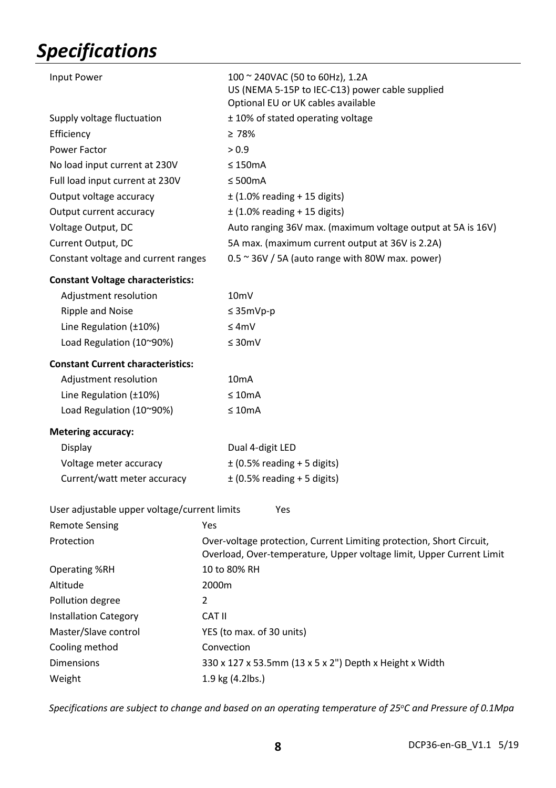# *Specifications*

| <b>Input Power</b>                           | 100 ~ 240VAC (50 to 60Hz), 1.2A<br>US (NEMA 5-15P to IEC-C13) power cable supplied<br>Optional EU or UK cables available                     |  |
|----------------------------------------------|----------------------------------------------------------------------------------------------------------------------------------------------|--|
| Supply voltage fluctuation                   | ± 10% of stated operating voltage                                                                                                            |  |
| Efficiency                                   | $\geq 78\%$                                                                                                                                  |  |
| Power Factor                                 | > 0.9                                                                                                                                        |  |
| No load input current at 230V                | $\leq$ 150mA                                                                                                                                 |  |
| Full load input current at 230V              | $\leq 500mA$                                                                                                                                 |  |
| Output voltage accuracy                      | $±$ (1.0% reading + 15 digits)                                                                                                               |  |
| Output current accuracy                      | $\pm$ (1.0% reading + 15 digits)                                                                                                             |  |
| Voltage Output, DC                           | Auto ranging 36V max. (maximum voltage output at 5A is 16V)                                                                                  |  |
| Current Output, DC                           | 5A max. (maximum current output at 36V is 2.2A)                                                                                              |  |
| Constant voltage and current ranges          | $0.5 \approx 36V / 5A$ (auto range with 80W max. power)                                                                                      |  |
| <b>Constant Voltage characteristics:</b>     |                                                                                                                                              |  |
| Adjustment resolution                        | 10 <sub>m</sub> V                                                                                                                            |  |
| Ripple and Noise                             | $\leq$ 35mVp-p                                                                                                                               |  |
| Line Regulation (±10%)                       | $\leq 4mV$                                                                                                                                   |  |
| Load Regulation (10~90%)                     | $\leq 30$ mV                                                                                                                                 |  |
| <b>Constant Current characteristics:</b>     |                                                                                                                                              |  |
| Adjustment resolution                        | 10 <sub>m</sub> A                                                                                                                            |  |
| Line Regulation (±10%)                       | $\leq 10$ mA                                                                                                                                 |  |
| Load Regulation (10~90%)                     | $\leq 10$ mA                                                                                                                                 |  |
| <b>Metering accuracy:</b>                    |                                                                                                                                              |  |
| Display                                      | Dual 4-digit LED                                                                                                                             |  |
| Voltage meter accuracy                       | $\pm$ (0.5% reading + 5 digits)                                                                                                              |  |
| Current/watt meter accuracy                  | $\pm$ (0.5% reading + 5 digits)                                                                                                              |  |
| User adjustable upper voltage/current limits | Yes                                                                                                                                          |  |
| <b>Remote Sensing</b>                        | Yes                                                                                                                                          |  |
| Protection                                   | Over-voltage protection, Current Limiting protection, Short Circuit,<br>Overload, Over-temperature, Upper voltage limit, Upper Current Limit |  |
| <b>Operating %RH</b>                         | 10 to 80% RH                                                                                                                                 |  |
| Altitude                                     | 2000m                                                                                                                                        |  |
| Pollution degree                             | $\overline{2}$                                                                                                                               |  |
| <b>Installation Category</b>                 | CAT II                                                                                                                                       |  |
| Master/Slave control                         | YES (to max. of 30 units)                                                                                                                    |  |
| Cooling method                               | Convection                                                                                                                                   |  |
| Dimensions                                   | 330 x 127 x 53.5mm (13 x 5 x 2") Depth x Height x Width                                                                                      |  |
| Weight                                       | 1.9 kg (4.2lbs.)                                                                                                                             |  |
|                                              |                                                                                                                                              |  |

*Specifications are subject to change and based on an operating temperature of 25oC and Pressure of 0.1Mpa*